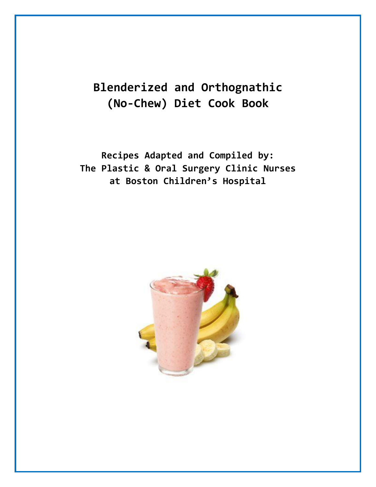# **Blenderized and Orthognathic (No-Chew) Diet Cook Book**

**Recipes Adapted and Compiled by: The Plastic & Oral Surgery Clinic Nurses at Boston Children's Hospital**

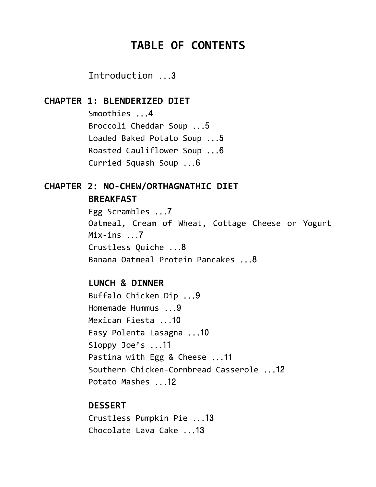# **TABLE OF CONTENTS**

Introduction ...3

### **CHAPTER 1: BLENDERIZED DIET**

Smoothies ...4 Broccoli Cheddar Soup ...5 Loaded Baked Potato Soup ...5 Roasted Cauliflower Soup ...6 Curried Squash Soup ...6

## **CHAPTER 2: NO-CHEW/ORTHAGNATHIC DIET BREAKFAST**

Egg Scrambles ...7 Oatmeal, Cream of Wheat, Cottage Cheese or Yogurt Mix-ins ...7 Crustless Quiche ...8 Banana Oatmeal Protein Pancakes ...8

### **LUNCH & DINNER**

Buffalo Chicken Dip ...9 Homemade Hummus ...9 Mexican Fiesta ...10 Easy Polenta Lasagna ...10 Sloppy Joe's ...11 Pastina with Egg & Cheese ...11 Southern Chicken-Cornbread Casserole ...12 Potato Mashes ...12

### **DESSERT**

Crustless Pumpkin Pie ...13 Chocolate Lava Cake ...13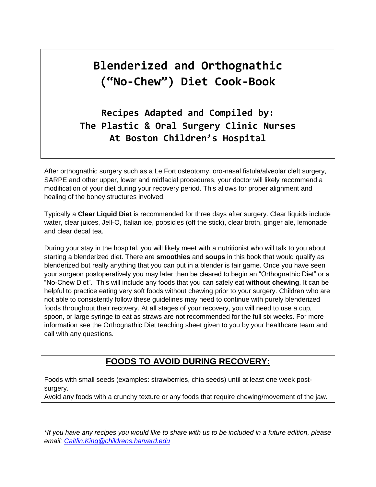# **Blenderized and Orthognathic ("No-Chew") Diet Cook-Book**

**Recipes Adapted and Compiled by: The Plastic & Oral Surgery Clinic Nurses At Boston Children's Hospital**

After orthognathic surgery such as a Le Fort osteotomy, oro-nasal fistula/alveolar cleft surgery, SARPE and other upper, lower and midfacial procedures, your doctor will likely recommend a modification of your diet during your recovery period. This allows for proper alignment and healing of the boney structures involved.

Typically a **Clear Liquid Diet** is recommended for three days after surgery. Clear liquids include water, clear juices, Jell-O, Italian ice, popsicles (off the stick), clear broth, ginger ale, lemonade and clear decaf tea.

During your stay in the hospital, you will likely meet with a nutritionist who will talk to you about starting a blenderized diet. There are **smoothies** and **soups** in this book that would qualify as blenderized but really anything that you can put in a blender is fair game. Once you have seen your surgeon postoperatively you may later then be cleared to begin an "Orthognathic Diet" or a "No-Chew Diet". This will include any foods that you can safely eat **without chewing**. It can be helpful to practice eating very soft foods without chewing prior to your surgery. Children who are not able to consistently follow these guidelines may need to continue with purely blenderized foods throughout their recovery. At all stages of your recovery, you will need to use a cup, spoon, or large syringe to eat as straws are not recommended for the full six weeks. For more information see the Orthognathic Diet teaching sheet given to you by your healthcare team and call with any questions.

### **FOODS TO AVOID DURING RECOVERY:**

Foods with small seeds (examples: strawberries, chia seeds) until at least one week postsurgery.

Avoid any foods with a crunchy texture or any foods that require chewing/movement of the jaw.

*\*If you have any recipes you would like to share with us to be included in a future edition, please email: [Caitlin.King@childrens.harvard.edu](mailto:Caitlin.King@childrens.harvard.edu)*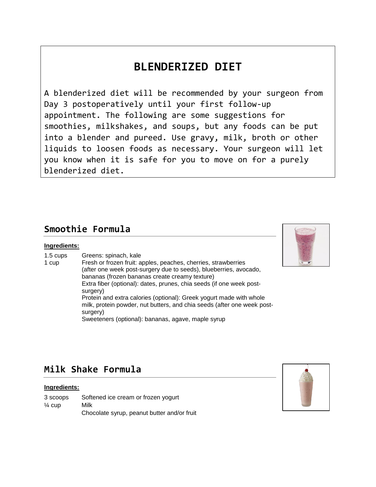# **BLENDERIZED DIET**

A blenderized diet will be recommended by your surgeon from Day 3 postoperatively until your first follow-up appointment. The following are some suggestions for smoothies, milkshakes, and soups, but any foods can be put into a blender and pureed. Use gravy, milk, broth or other liquids to loosen foods as necessary. Your surgeon will let you know when it is safe for you to move on for a purely blenderized diet.

## **Smoothie Formula**

### **Ingredients:**

- 1.5 cups Greens: spinach, kale
- 1 cup Fresh or frozen fruit: apples, peaches, cherries, strawberries (after one week post-surgery due to seeds), blueberries, avocado, bananas (frozen bananas create creamy texture) Extra fiber (optional): dates, prunes, chia seeds (if one week postsurgery) Protein and extra calories (optional): Greek yogurt made with whole milk, protein powder, nut butters, and chia seeds (after one week postsurgery) Sweeteners (optional): bananas, agave, maple syrup



## **Milk Shake Formula**

### **Ingredients:**

| 3 scoops          | Softened ice cream or frozen yogurt         |
|-------------------|---------------------------------------------|
| $\frac{1}{4}$ cup | Milk                                        |
|                   | Chocolate syrup, peanut butter and/or fruit |

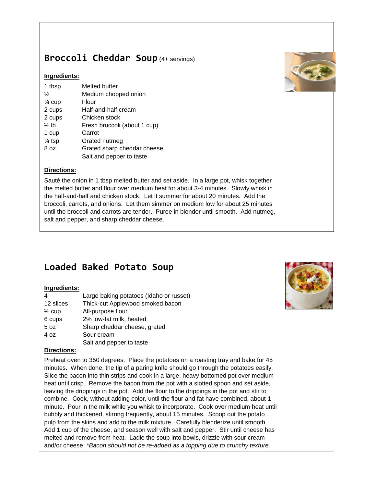## **Broccoli Cheddar Soup** (4+ servings)

### **Ingredients:**

| 1 tbsp            | Melted butter                |
|-------------------|------------------------------|
| $\frac{1}{2}$     | Medium chopped onion         |
| $\frac{1}{4}$ cup | Flour                        |
| 2 cups            | Half-and-half cream          |
| 2 cups            | Chicken stock                |
| $\frac{1}{2}$ lb  | Fresh broccoli (about 1 cup) |
| 1 cup             | Carrot                       |
| $\frac{1}{4}$ tsp | Grated nutmeg                |
| 8 <sub>oz</sub>   | Grated sharp cheddar cheese  |
|                   | Salt and pepper to taste     |

### **Directions:**

Sauté the onion in 1 tbsp melted butter and set aside. In a large pot, whisk together the melted butter and flour over medium heat for about 3-4 minutes. Slowly whisk in the half-and-half and chicken stock. Let it summer for about 20 minutes. Add the broccoli, carrots, and onions. Let them simmer on medium low for about 25 minutes until the broccoli and carrots are tender. Puree in blender until smooth. Add nutmeg, salt and pepper, and sharp cheddar cheese.

# **Loaded Baked Potato Soup**

### **Ingredients:**

| 4                 | Large baking potatoes (Idaho or russet) |
|-------------------|-----------------------------------------|
| 12 slices         | Thick-cut Applewood smoked bacon        |
| $\frac{1}{2}$ cup | All-purpose flour                       |
| 6 cups            | 2% low-fat milk, heated                 |
| 5 oz              | Sharp cheddar cheese, grated            |
| 4 oz              | Sour cream                              |
|                   | Salt and pepper to taste                |

#### **Directions:**

Preheat oven to 350 degrees. Place the potatoes on a roasting tray and bake for 45 minutes. When done, the tip of a paring knife should go through the potatoes easily. Slice the bacon into thin strips and cook in a large, heavy bottomed pot over medium heat until crisp. Remove the bacon from the pot with a slotted spoon and set aside, leaving the drippings in the pot. Add the flour to the drippings in the pot and stir to combine. Cook, without adding color, until the flour and fat have combined, about 1 minute. Pour in the milk while you whisk to incorporate. Cook over medium heat until bubbly and thickened, stirring frequently, about 15 minutes. Scoop out the potato pulp from the skins and add to the milk mixture. Carefully blenderize until smooth. Add 1 cup of the cheese, and season well with salt and pepper. Stir until cheese has melted and remove from heat. Ladle the soup into bowls, drizzle with sour cream and/or cheese. *\*Bacon should not be re-added as a topping due to crunchy texture.*



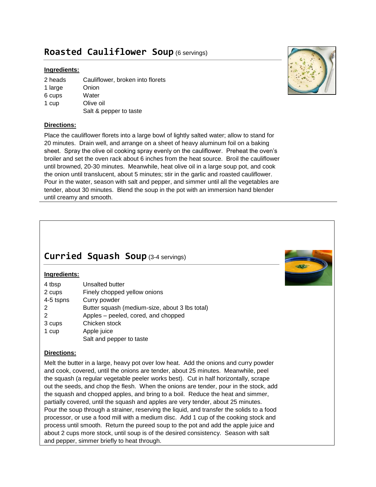## **Roasted Cauliflower Soup** (6 servings)

### **Ingredients:**

- 2 heads Cauliflower, broken into florets
- 1 large **Onion**
- 6 cups **Water**
- 1 cup Olive oil Salt & pepper to taste

### **Directions:**

Place the cauliflower florets into a large bowl of lightly salted water; allow to stand for 20 minutes. Drain well, and arrange on a sheet of heavy aluminum foil on a baking sheet. Spray the olive oil cooking spray evenly on the cauliflower. Preheat the oven's broiler and set the oven rack about 6 inches from the heat source. Broil the cauliflower until browned, 20-30 minutes. Meanwhile, heat olive oil in a large soup pot, and cook the onion until translucent, about 5 minutes; stir in the garlic and roasted cauliflower. Pour in the water, season with salt and pepper, and simmer until all the vegetables are tender, about 30 minutes. Blend the soup in the pot with an immersion hand blender until creamy and smooth.

## **Curried Squash Soup** (3-4 servings)

### **Ingredients:**

| 4 tbsp    | Unsalted butter                                |
|-----------|------------------------------------------------|
| 2 cups    | Finely chopped yellow onions                   |
| 4-5 tspns | Curry powder                                   |
| 2         | Butter squash (medium-size, about 3 lbs total) |
| 2         | Apples - peeled, cored, and chopped            |
| 3 cups    | Chicken stock                                  |
| 1 cup     | Apple juice                                    |
|           | Salt and pepper to taste                       |

### **Directions:**

Melt the butter in a large, heavy pot over low heat. Add the onions and curry powder and cook, covered, until the onions are tender, about 25 minutes. Meanwhile, peel the squash (a regular vegetable peeler works best). Cut in half horizontally, scrape out the seeds, and chop the flesh. When the onions are tender, pour in the stock, add the squash and chopped apples, and bring to a boil. Reduce the heat and simmer, partially covered, until the squash and apples are very tender, about 25 minutes. Pour the soup through a strainer, reserving the liquid, and transfer the solids to a food processor, or use a food mill with a medium disc. Add 1 cup of the cooking stock and process until smooth. Return the pureed soup to the pot and add the apple juice and about 2 cups more stock, until soup is of the desired consistency. Season with salt and pepper, simmer briefly to heat through.



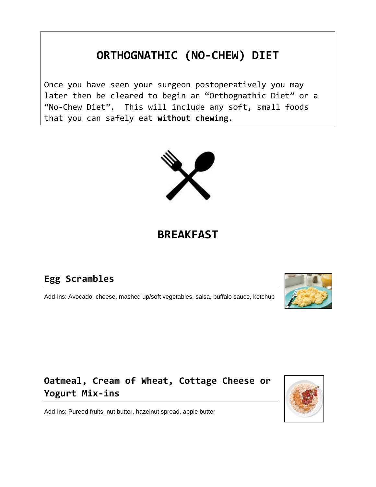# **ORTHOGNATHIC (NO-CHEW) DIET**

Once you have seen your surgeon postoperatively you may later then be cleared to begin an "Orthognathic Diet" or a "No-Chew Diet". This will include any soft, small foods that you can safely eat **without chewing**.



# **BREAKFAST**

# **Egg Scrambles**

Add-ins: Avocado, cheese, mashed up/soft vegetables, salsa, buffalo sauce, ketchup



# **Oatmeal, Cream of Wheat, Cottage Cheese or Yogurt Mix-ins**

Add-ins: Pureed fruits, nut butter, hazelnut spread, apple butter

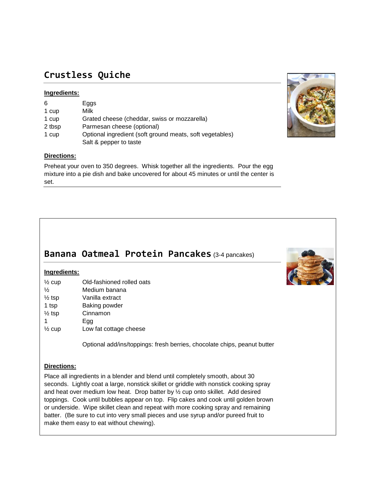## **Crustless Quiche**

### **Ingredients:**

| 6      | Eggs                                                     |
|--------|----------------------------------------------------------|
| 1 cup  | Milk                                                     |
| 1 cup  | Grated cheese (cheddar, swiss or mozzarella)             |
| 2 tbsp | Parmesan cheese (optional)                               |
| 1 cup  | Optional ingredient (soft ground meats, soft vegetables) |
|        | Salt & pepper to taste                                   |

### **Directions:**

Preheat your oven to 350 degrees. Whisk together all the ingredients. Pour the egg mixture into a pie dish and bake uncovered for about 45 minutes or until the center is set.

# **Banana Oatmeal Protein Pancakes** (3-4 pancakes)

### **Ingredients:**

| $\frac{1}{2}$ cup | Old-fashioned rolled oats |  |
|-------------------|---------------------------|--|
| $\frac{1}{2}$     | Medium banana             |  |
| $\frac{1}{2}$ tsp | Vanilla extract           |  |
| 1 tsp             | Baking powder             |  |
| $\frac{1}{2}$ tsp | Cinnamon                  |  |
| 1                 | Egg                       |  |
| $\frac{1}{2}$ cup | Low fat cottage cheese    |  |
|                   |                           |  |

Optional add/ins/toppings: fresh berries, chocolate chips, peanut butter

### **Directions:**

Place all ingredients in a blender and blend until completely smooth, about 30 seconds. Lightly coat a large, nonstick skillet or griddle with nonstick cooking spray and heat over medium low heat. Drop batter by ½ cup onto skillet. Add desired toppings. Cook until bubbles appear on top. Flip cakes and cook until golden brown or underside. Wipe skillet clean and repeat with more cooking spray and remaining batter. (Be sure to cut into very small pieces and use syrup and/or pureed fruit to make them easy to eat without chewing).



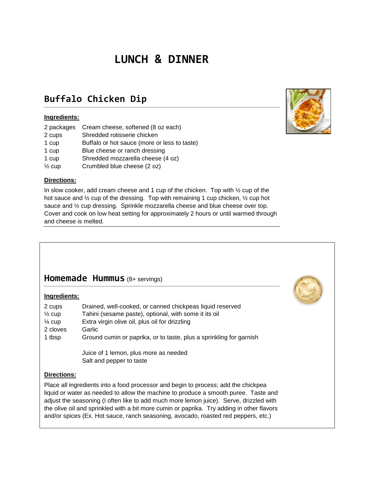# **LUNCH & DINNER**

# **Buffalo Chicken Dip**

### **Ingredients:**

| 2 packages        | Cream cheese, softened (8 oz each)           |
|-------------------|----------------------------------------------|
| 2 cups            | Shredded rotisserie chicken                  |
| 1 cup             | Buffalo or hot sauce (more or less to taste) |
| 1 cup             | Blue cheese or ranch dressing                |
| 1 cup             | Shredded mozzarella cheese (4 oz)            |
| $\frac{1}{2}$ cup | Crumbled blue cheese (2 oz)                  |

#### **Directions:**

In slow cooker, add cream cheese and 1 cup of the chicken. Top with 1/2 cup of the hot sauce and  $\frac{1}{2}$  cup of the dressing. Top with remaining 1 cup chicken,  $\frac{1}{2}$  cup hot sauce and  $\frac{1}{2}$  cup dressing. Sprinkle mozzarella cheese and blue cheese over top. Cover and cook on low heat setting for approximately 2 hours or until warmed through and cheese is melted.

### **Homemade Hummus** (8+ servings)

#### **Ingredients:**

| 2 cups            | Drained, well-cooked, or canned chickpeas liquid reserved           |
|-------------------|---------------------------------------------------------------------|
| $\frac{1}{2}$ cup | Tahini (sesame paste), optional, with some it its oil               |
| $\frac{1}{4}$ cup | Extra virgin olive oil, plus oil for drizzling                      |
| 2 cloves          | Garlic                                                              |
| 1 tbsp            | Ground cumin or paprika, or to taste, plus a sprinkling for garnish |
|                   | Juice of 1 lemon, plus more as needed<br>Salt and pepper to taste   |
|                   |                                                                     |

#### **Directions:**

Place all ingredients into a food processor and begin to process; add the chickpea liquid or water as needed to allow the machine to produce a smooth puree. Taste and adjust the seasoning (I often like to add much more lemon juice). Serve, drizzled with the olive oil and sprinkled with a bit more cumin or paprika. Try adding in other flavors and/or spices (Ex. Hot sauce, ranch seasoning, avocado, roasted red peppers, etc.)

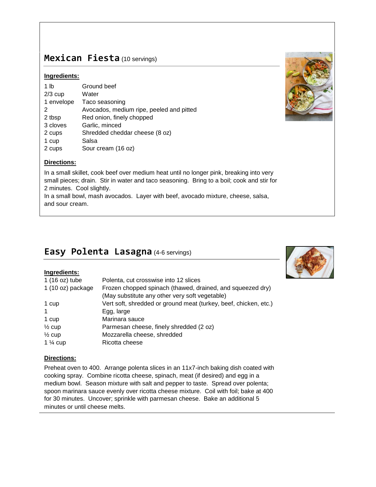### **Mexican Fiesta** (10 servings)

### **Ingredients:**

| 1 lb       | Ground beef                              |
|------------|------------------------------------------|
| $2/3$ cup  | Water                                    |
| 1 envelope | Taco seasoning                           |
| 2          | Avocados, medium ripe, peeled and pitted |
| 2 tbsp     | Red onion, finely chopped                |
| 3 cloves   | Garlic, minced                           |
| 2 cups     | Shredded cheddar cheese (8 oz)           |
| 1 cup      | Salsa                                    |
| 2 cups     | Sour cream (16 oz)                       |
|            |                                          |



In a small skillet, cook beef over medium heat until no longer pink, breaking into very small pieces; drain. Stir in water and taco seasoning. Bring to a boil; cook and stir for 2 minutes. Cool slightly.

In a small bowl, mash avocados. Layer with beef, avocado mixture, cheese, salsa, and sour cream.

## **Easy Polenta Lasagna** (4-6 servings)

### **Ingredients:**

| 1 (16 oz) tube      | Polenta, cut crosswise into 12 slices                            |
|---------------------|------------------------------------------------------------------|
| 1 (10 oz) package   | Frozen chopped spinach (thawed, drained, and squeezed dry)       |
|                     | (May substitute any other very soft vegetable)                   |
| 1 cup               | Vert soft, shredded or ground meat (turkey, beef, chicken, etc.) |
| $\mathbf{1}$        | Egg, large                                                       |
| 1 cup               | Marinara sauce                                                   |
| $\frac{1}{2}$ cup   | Parmesan cheese, finely shredded (2 oz)                          |
| $\frac{1}{2}$ cup   | Mozzarella cheese, shredded                                      |
| 1 $\frac{1}{4}$ cup | Ricotta cheese                                                   |

### **Directions:**

Preheat oven to 400. Arrange polenta slices in an 11x7-inch baking dish coated with cooking spray. Combine ricotta cheese, spinach, meat (if desired) and egg in a medium bowl. Season mixture with salt and pepper to taste. Spread over polenta; spoon marinara sauce evenly over ricotta cheese mixture. Coil with foil; bake at 400 for 30 minutes. Uncover; sprinkle with parmesan cheese. Bake an additional 5 minutes or until cheese melts.



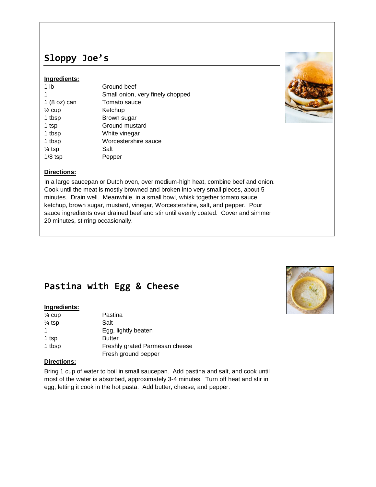# **Sloppy Joe's**

### **Ingredients:**

| 1 <sub>lb</sub>   | Ground beef                      |
|-------------------|----------------------------------|
| 1                 | Small onion, very finely chopped |
| 1(8 oz) can       | Tomato sauce                     |
| $\frac{1}{2}$ cup | Ketchup                          |
| 1 tbsp            | Brown sugar                      |
| 1 tsp             | Ground mustard                   |
| 1 tbsp            | White vinegar                    |
| 1 tbsp            | Worcestershire sauce             |
| $\frac{1}{4}$ tsp | Salt                             |
| $1/8$ tsp         | Pepper                           |



### **Directions:**

In a large saucepan or Dutch oven, over medium-high heat, combine beef and onion. Cook until the meat is mostly browned and broken into very small pieces, about 5 minutes. Drain well. Meanwhile, in a small bowl, whisk together tomato sauce, ketchup, brown sugar, mustard, vinegar, Worcestershire, salt, and pepper. Pour sauce ingredients over drained beef and stir until evenly coated. Cover and simmer 20 minutes, stirring occasionally.

## **Pastina with Egg & Cheese**

#### **Ingredients:**

| $\frac{1}{4}$ cup | Pastina                        |
|-------------------|--------------------------------|
| $\frac{1}{4}$ tsp | Salt                           |
| 1                 | Egg, lightly beaten            |
| 1 tsp             | <b>Butter</b>                  |
| 1 tbsp            | Freshly grated Parmesan cheese |
|                   | Fresh ground pepper            |

### **Directions:**

Bring 1 cup of water to boil in small saucepan. Add pastina and salt, and cook until most of the water is absorbed, approximately 3-4 minutes. Turn off heat and stir in egg, letting it cook in the hot pasta. Add butter, cheese, and pepper.

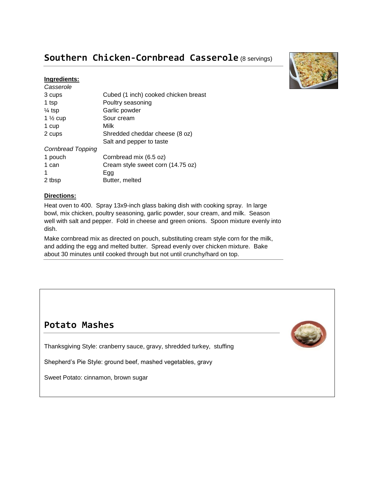# **Southern Chicken-Cornbread Casserole** (8 servings)

### **Ingredients:**

| Casserole           |                                      |
|---------------------|--------------------------------------|
| 3 cups              | Cubed (1 inch) cooked chicken breast |
| 1 tsp               | Poultry seasoning                    |
| $\frac{1}{4}$ tsp   | Garlic powder                        |
| 1 $\frac{1}{2}$ cup | Sour cream                           |
| 1 cup               | Milk                                 |
| 2 cups              | Shredded cheddar cheese (8 oz)       |
|                     | Salt and pepper to taste             |
| Cornbread Topping   |                                      |
| 1 pouch             | Cornbread mix (6.5 oz)               |
| 1 can               | Cream style sweet corn (14.75 oz)    |
|                     | Egg                                  |
| 2 tbsp              | Butter, melted                       |



### **Directions:**

Heat oven to 400. Spray 13x9-inch glass baking dish with cooking spray. In large bowl, mix chicken, poultry seasoning, garlic powder, sour cream, and milk. Season well with salt and pepper. Fold in cheese and green onions. Spoon mixture evenly into dish.

Make cornbread mix as directed on pouch, substituting cream style corn for the milk, and adding the egg and melted butter. Spread evenly over chicken mixture. Bake about 30 minutes until cooked through but not until crunchy/hard on top.

### **Potato Mashes**

Thanksgiving Style: cranberry sauce, gravy, shredded turkey, stuffing

Shepherd's Pie Style: ground beef, mashed vegetables, gravy

Sweet Potato: cinnamon, brown sugar